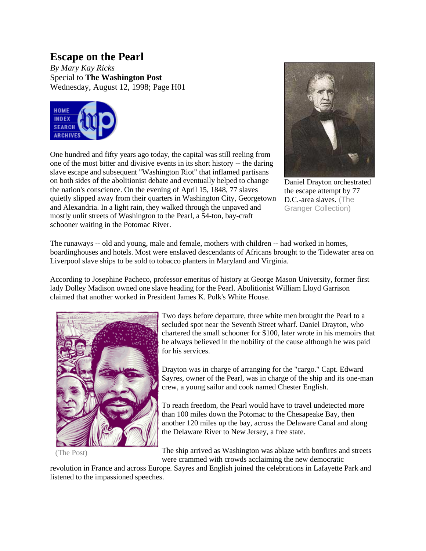# **Escape on the Pearl**

*By Mary Kay Ricks* Special to **The Washington Post** Wednesday, August 12, 1998; Page H01



One hundred and fifty years ago today, the capital was still reeling from one of the most bitter and divisive events in its short history -- the daring slave escape and subsequent "Washington Riot" that inflamed partisans on both sides of the abolitionist debate and eventually helped to change the nation's conscience. On the evening of April 15, 1848, 77 slaves quietly slipped away from their quarters in Washington City, Georgetown and Alexandria. In a light rain, they walked through the unpaved and mostly unlit streets of Washington to the Pearl, a 54-ton, bay-craft schooner waiting in the Potomac River.



Daniel Drayton orchestrated the escape attempt by 77 D.C.-area slaves. (The Granger Collection)

The runaways -- old and young, male and female, mothers with children -- had worked in homes, boardinghouses and hotels. Most were enslaved descendants of Africans brought to the Tidewater area on Liverpool slave ships to be sold to tobacco planters in Maryland and Virginia.

According to Josephine Pacheco, professor emeritus of history at George Mason University, former first lady Dolley Madison owned one slave heading for the Pearl. Abolitionist William Lloyd Garrison claimed that another worked in President James K. Polk's White House.



(The Post)

Two days before departure, three white men brought the Pearl to a secluded spot near the Seventh Street wharf. Daniel Drayton, who chartered the small schooner for \$100, later wrote in his memoirs that he always believed in the nobility of the cause although he was paid for his services.

Drayton was in charge of arranging for the "cargo." Capt. Edward Sayres, owner of the Pearl, was in charge of the ship and its one-man crew, a young sailor and cook named Chester English.

To reach freedom, the Pearl would have to travel undetected more than 100 miles down the Potomac to the Chesapeake Bay, then another 120 miles up the bay, across the Delaware Canal and along the Delaware River to New Jersey, a free state.

The ship arrived as Washington was ablaze with bonfires and streets were crammed with crowds acclaiming the new democratic

revolution in France and across Europe. Sayres and English joined the celebrations in Lafayette Park and listened to the impassioned speeches.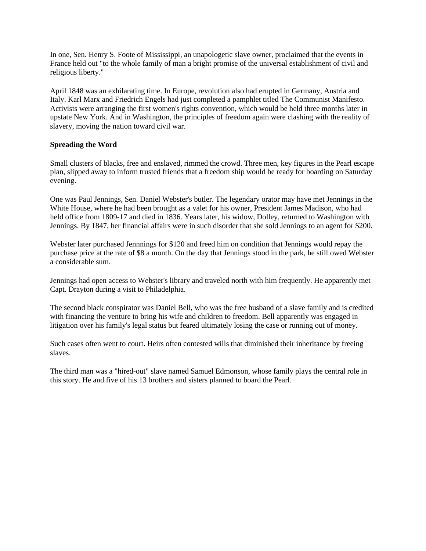In one, Sen. Henry S. Foote of Mississippi, an unapologetic slave owner, proclaimed that the events in France held out "to the whole family of man a bright promise of the universal establishment of civil and religious liberty."

April 1848 was an exhilarating time. In Europe, revolution also had erupted in Germany, Austria and Italy. Karl Marx and Friedrich Engels had just completed a pamphlet titled The Communist Manifesto. Activists were arranging the first women's rights convention, which would be held three months later in upstate New York. And in Washington, the principles of freedom again were clashing with the reality of slavery, moving the nation toward civil war.

# **Spreading the Word**

Small clusters of blacks, free and enslaved, rimmed the crowd. Three men, key figures in the Pearl escape plan, slipped away to inform trusted friends that a freedom ship would be ready for boarding on Saturday evening.

One was Paul Jennings, Sen. Daniel Webster's butler. The legendary orator may have met Jennings in the White House, where he had been brought as a valet for his owner, President James Madison, who had held office from 1809-17 and died in 1836. Years later, his widow, Dolley, returned to Washington with Jennings. By 1847, her financial affairs were in such disorder that she sold Jennings to an agent for \$200.

Webster later purchased Jennnings for \$120 and freed him on condition that Jennings would repay the purchase price at the rate of \$8 a month. On the day that Jennings stood in the park, he still owed Webster a considerable sum.

Jennings had open access to Webster's library and traveled north with him frequently. He apparently met Capt. Drayton during a visit to Philadelphia.

The second black conspirator was Daniel Bell, who was the free husband of a slave family and is credited with financing the venture to bring his wife and children to freedom. Bell apparently was engaged in litigation over his family's legal status but feared ultimately losing the case or running out of money.

Such cases often went to court. Heirs often contested wills that diminished their inheritance by freeing slaves.

The third man was a "hired-out" slave named Samuel Edmonson, whose family plays the central role in this story. He and five of his 13 brothers and sisters planned to board the Pearl.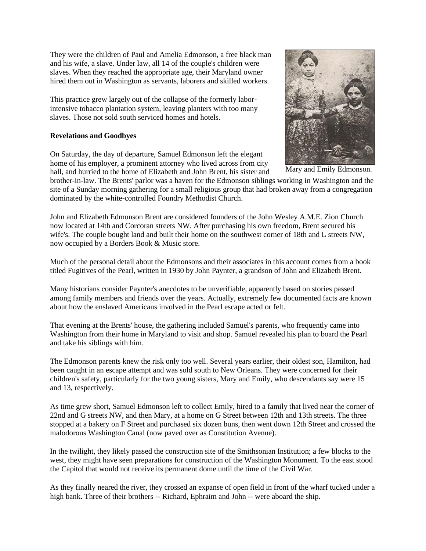They were the children of Paul and Amelia Edmonson, a free black man and his wife, a slave. Under law, all 14 of the couple's children were slaves. When they reached the appropriate age, their Maryland owner hired them out in Washington as servants, laborers and skilled workers.

This practice grew largely out of the collapse of the formerly laborintensive tobacco plantation system, leaving planters with too many slaves. Those not sold south serviced homes and hotels.

# **Revelations and Goodbyes**

On Saturday, the day of departure, Samuel Edmonson left the elegant home of his employer, a prominent attorney who lived across from city hall, and hurried to the home of Elizabeth and John Brent, his sister and



Mary and Emily Edmonson.

brother-in-law. The Brents' parlor was a haven for the Edmonson siblings working in Washington and the site of a Sunday morning gathering for a small religious group that had broken away from a congregation dominated by the white-controlled Foundry Methodist Church.

John and Elizabeth Edmonson Brent are considered founders of the John Wesley A.M.E. Zion Church now located at 14th and Corcoran streets NW. After purchasing his own freedom, Brent secured his wife's. The couple bought land and built their home on the southwest corner of 18th and L streets NW, now occupied by a Borders Book & Music store.

Much of the personal detail about the Edmonsons and their associates in this account comes from a book titled Fugitives of the Pearl, written in 1930 by John Paynter, a grandson of John and Elizabeth Brent.

Many historians consider Paynter's anecdotes to be unverifiable, apparently based on stories passed among family members and friends over the years. Actually, extremely few documented facts are known about how the enslaved Americans involved in the Pearl escape acted or felt.

That evening at the Brents' house, the gathering included Samuel's parents, who frequently came into Washington from their home in Maryland to visit and shop. Samuel revealed his plan to board the Pearl and take his siblings with him.

The Edmonson parents knew the risk only too well. Several years earlier, their oldest son, Hamilton, had been caught in an escape attempt and was sold south to New Orleans. They were concerned for their children's safety, particularly for the two young sisters, Mary and Emily, who descendants say were 15 and 13, respectively.

As time grew short, Samuel Edmonson left to collect Emily, hired to a family that lived near the corner of 22nd and G streets NW, and then Mary, at a home on G Street between 12th and 13th streets. The three stopped at a bakery on F Street and purchased six dozen buns, then went down 12th Street and crossed the malodorous Washington Canal (now paved over as Constitution Avenue).

In the twilight, they likely passed the construction site of the Smithsonian Institution; a few blocks to the west, they might have seen preparations for construction of the Washington Monument. To the east stood the Capitol that would not receive its permanent dome until the time of the Civil War.

As they finally neared the river, they crossed an expanse of open field in front of the wharf tucked under a high bank. Three of their brothers -- Richard, Ephraim and John -- were aboard the ship.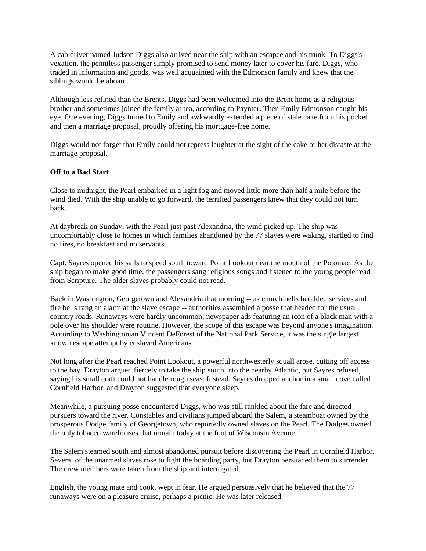A cab driver named Judson Diggs also arrived near the ship with an escapee and his trunk. To Diggs's vexation, the penniless passenger simply promised to send money later to cover his fare. Diggs, who traded in information and goods, was well acquainted with the Edmonson family and knew that the siblings would be aboard.

Although less refined than the Brents, Diggs had been welcomed into the Brent home as a religious brother and sometimes joined the family at tea, according to Paynter. Then Emily Edmonson caught his eye. One evening, Diggs turned to Emily and awkwardly extended a piece of stale cake from his pocket and then a marriage proposal, proudly offering his mortgage-free home.

Diggs would not forget that Emily could not repress laughter at the sight of the cake or her distaste at the marriage proposal.

#### **Off to a Bad Start**

Close to midnight, the Pearl embarked in a light fog and moved little more than half a mile before the wind died. With the ship unable to go forward, the terrified passengers knew that they could not turn back.

At daybreak on Sunday, with the Pearl just past Alexandria, the wind picked up. The ship was uncomfortably close to homes in which families abandoned by the 77 slaves were waking, startled to find no fires, no breakfast and no servants.

Capt. Sayres opened his sails to speed south toward Point Lookout near the mouth of the Potomac. As the ship began to make good time, the passengers sang religious songs and listened to the young people read from Scripture. The older slaves probably could not read.

Back in Washington, Georgetown and Alexandria that morning -- as church bells heralded services and fire bells rang an alarm at the slave escape -- authorities assembled a posse that headed for the usual country roads. Runaways were hardly uncommon; newspaper ads featuring an icon of a black man with a pole over his shoulder were routine. However, the scope of this escape was beyond anyone's imagination. According to Washingtonian Vincent DeForest of the National Park Service, it was the single largest known escape attempt by enslaved Americans.

Not long after the Pearl reached Point Lookout, a powerful northwesterly squall arose, cutting off access to the bay. Drayton argued fiercely to take the ship south into the nearby Atlantic, but Sayres refused, saying his small craft could not handle rough seas. Instead, Sayres dropped anchor in a small cove called Cornfield Harbor, and Drayton suggested that everyone sleep.

Meanwhile, a pursuing posse encountered Diggs, who was still rankled about the fare and directed pursuers toward the river. Constables and civilians jumped aboard the Salem, a steamboat owned by the prosperous Dodge family of Georgetown, who reportedly owned slaves on the Pearl. The Dodges owned the only tobacco warehouses that remain today at the foot of Wisconsin Avenue.

The Salem steamed south and almost abandoned pursuit before discovering the Pearl in Cornfield Harbor. Several of the unarmed slaves rose to fight the boarding party, but Drayton persuaded them to surrender. The crew members were taken from the ship and interrogated.

English, the young mate and cook, wept in fear. He argued persuasively that he believed that the 77 runaways were on a pleasure cruise, perhaps a picnic. He was later released.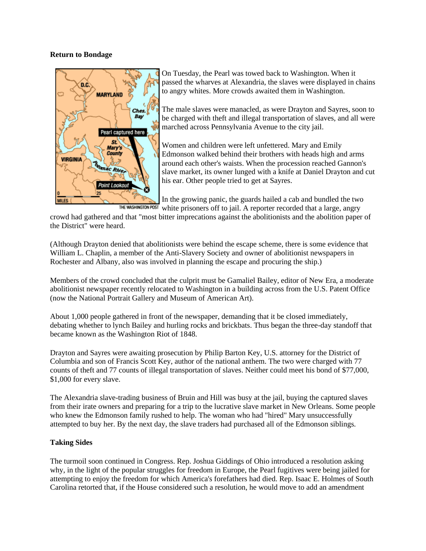### **Return to Bondage**



On Tuesday, the Pearl was towed back to Washington. When it passed the wharves at Alexandria, the slaves were displayed in chains to angry whites. More crowds awaited them in Washington.

The male slaves were manacled, as were Drayton and Sayres, soon to be charged with theft and illegal transportation of slaves, and all were marched across Pennsylvania Avenue to the city jail.

Women and children were left unfettered. Mary and Emily Edmonson walked behind their brothers with heads high and arms around each other's waists. When the procession reached Gannon's slave market, its owner lunged with a knife at Daniel Drayton and cut his ear. Other people tried to get at Sayres.

In the growing panic, the guards hailed a cab and bundled the two THE WASHINGTON POST white prisoners off to jail. A reporter recorded that a large, angry

crowd had gathered and that "most bitter imprecations against the abolitionists and the abolition paper of the District" were heard.

(Although Drayton denied that abolitionists were behind the escape scheme, there is some evidence that William L. Chaplin, a member of the Anti-Slavery Society and owner of abolitionist newspapers in Rochester and Albany, also was involved in planning the escape and procuring the ship.)

Members of the crowd concluded that the culprit must be Gamaliel Bailey, editor of New Era, a moderate abolitionist newspaper recently relocated to Washington in a building across from the U.S. Patent Office (now the National Portrait Gallery and Museum of American Art).

About 1,000 people gathered in front of the newspaper, demanding that it be closed immediately, debating whether to lynch Bailey and hurling rocks and brickbats. Thus began the three-day standoff that became known as the Washington Riot of 1848.

Drayton and Sayres were awaiting prosecution by Philip Barton Key, U.S. attorney for the District of Columbia and son of Francis Scott Key, author of the national anthem. The two were charged with 77 counts of theft and 77 counts of illegal transportation of slaves. Neither could meet his bond of \$77,000, \$1,000 for every slave.

The Alexandria slave-trading business of Bruin and Hill was busy at the jail, buying the captured slaves from their irate owners and preparing for a trip to the lucrative slave market in New Orleans. Some people who knew the Edmonson family rushed to help. The woman who had "hired" Mary unsuccessfully attempted to buy her. By the next day, the slave traders had purchased all of the Edmonson siblings.

# **Taking Sides**

The turmoil soon continued in Congress. Rep. Joshua Giddings of Ohio introduced a resolution asking why, in the light of the popular struggles for freedom in Europe, the Pearl fugitives were being jailed for attempting to enjoy the freedom for which America's forefathers had died. Rep. Isaac E. Holmes of South Carolina retorted that, if the House considered such a resolution, he would move to add an amendment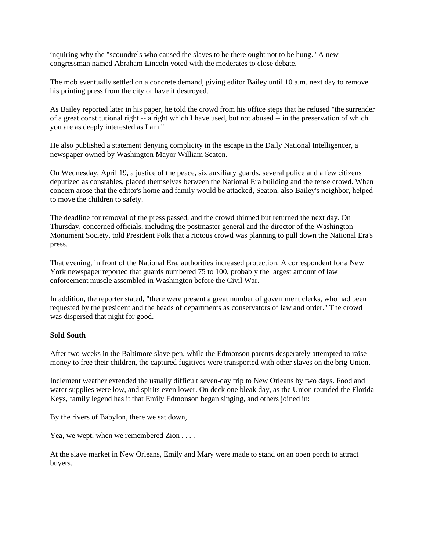inquiring why the "scoundrels who caused the slaves to be there ought not to be hung." A new congressman named Abraham Lincoln voted with the moderates to close debate.

The mob eventually settled on a concrete demand, giving editor Bailey until 10 a.m. next day to remove his printing press from the city or have it destroyed.

As Bailey reported later in his paper, he told the crowd from his office steps that he refused "the surrender of a great constitutional right -- a right which I have used, but not abused -- in the preservation of which you are as deeply interested as I am."

He also published a statement denying complicity in the escape in the Daily National Intelligencer, a newspaper owned by Washington Mayor William Seaton.

On Wednesday, April 19, a justice of the peace, six auxiliary guards, several police and a few citizens deputized as constables, placed themselves between the National Era building and the tense crowd. When concern arose that the editor's home and family would be attacked, Seaton, also Bailey's neighbor, helped to move the children to safety.

The deadline for removal of the press passed, and the crowd thinned but returned the next day. On Thursday, concerned officials, including the postmaster general and the director of the Washington Monument Society, told President Polk that a riotous crowd was planning to pull down the National Era's press.

That evening, in front of the National Era, authorities increased protection. A correspondent for a New York newspaper reported that guards numbered 75 to 100, probably the largest amount of law enforcement muscle assembled in Washington before the Civil War.

In addition, the reporter stated, "there were present a great number of government clerks, who had been requested by the president and the heads of departments as conservators of law and order." The crowd was dispersed that night for good.

# **Sold South**

After two weeks in the Baltimore slave pen, while the Edmonson parents desperately attempted to raise money to free their children, the captured fugitives were transported with other slaves on the brig Union.

Inclement weather extended the usually difficult seven-day trip to New Orleans by two days. Food and water supplies were low, and spirits even lower. On deck one bleak day, as the Union rounded the Florida Keys, family legend has it that Emily Edmonson began singing, and others joined in:

By the rivers of Babylon, there we sat down,

Yea, we wept, when we remembered Zion . . . .

At the slave market in New Orleans, Emily and Mary were made to stand on an open porch to attract buyers.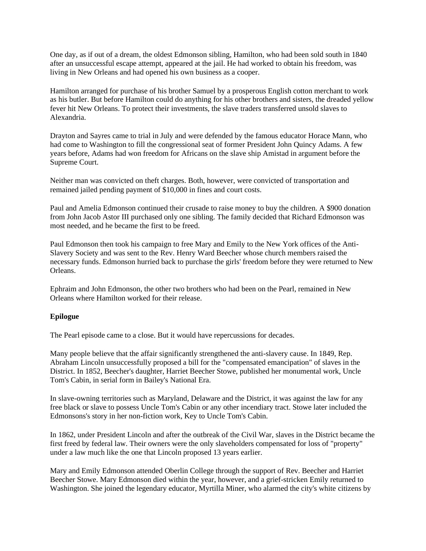One day, as if out of a dream, the oldest Edmonson sibling, Hamilton, who had been sold south in 1840 after an unsuccessful escape attempt, appeared at the jail. He had worked to obtain his freedom, was living in New Orleans and had opened his own business as a cooper.

Hamilton arranged for purchase of his brother Samuel by a prosperous English cotton merchant to work as his butler. But before Hamilton could do anything for his other brothers and sisters, the dreaded yellow fever hit New Orleans. To protect their investments, the slave traders transferred unsold slaves to Alexandria.

Drayton and Sayres came to trial in July and were defended by the famous educator Horace Mann, who had come to Washington to fill the congressional seat of former President John Quincy Adams. A few years before, Adams had won freedom for Africans on the slave ship Amistad in argument before the Supreme Court.

Neither man was convicted on theft charges. Both, however, were convicted of transportation and remained jailed pending payment of \$10,000 in fines and court costs.

Paul and Amelia Edmonson continued their crusade to raise money to buy the children. A \$900 donation from John Jacob Astor III purchased only one sibling. The family decided that Richard Edmonson was most needed, and he became the first to be freed.

Paul Edmonson then took his campaign to free Mary and Emily to the New York offices of the Anti-Slavery Society and was sent to the Rev. Henry Ward Beecher whose church members raised the necessary funds. Edmonson hurried back to purchase the girls' freedom before they were returned to New Orleans.

Ephraim and John Edmonson, the other two brothers who had been on the Pearl, remained in New Orleans where Hamilton worked for their release.

#### **Epilogue**

The Pearl episode came to a close. But it would have repercussions for decades.

Many people believe that the affair significantly strengthened the anti-slavery cause. In 1849, Rep. Abraham Lincoln unsuccessfully proposed a bill for the "compensated emancipation" of slaves in the District. In 1852, Beecher's daughter, Harriet Beecher Stowe, published her monumental work, Uncle Tom's Cabin, in serial form in Bailey's National Era.

In slave-owning territories such as Maryland, Delaware and the District, it was against the law for any free black or slave to possess Uncle Tom's Cabin or any other incendiary tract. Stowe later included the Edmonsons's story in her non-fiction work, Key to Uncle Tom's Cabin.

In 1862, under President Lincoln and after the outbreak of the Civil War, slaves in the District became the first freed by federal law. Their owners were the only slaveholders compensated for loss of "property" under a law much like the one that Lincoln proposed 13 years earlier.

Mary and Emily Edmonson attended Oberlin College through the support of Rev. Beecher and Harriet Beecher Stowe. Mary Edmonson died within the year, however, and a grief-stricken Emily returned to Washington. She joined the legendary educator, Myrtilla Miner, who alarmed the city's white citizens by